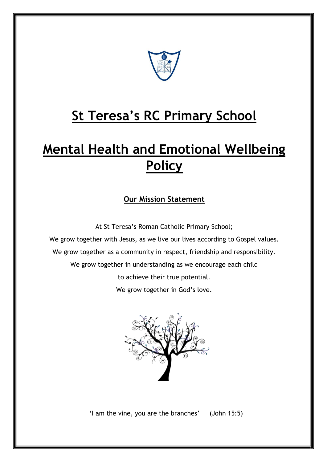

# **St Teresa's RC Primary School**

# **Mental Health and Emotional Wellbeing Policy**

## **Our Mission Statement**

At St Teresa's Roman Catholic Primary School; We grow together with Jesus, as we live our lives according to Gospel values. We grow together as a community in respect, friendship and responsibility. We grow together in understanding as we encourage each child to achieve their true potential. We grow together in God's love.



'I am the vine, you are the branches' (John 15:5)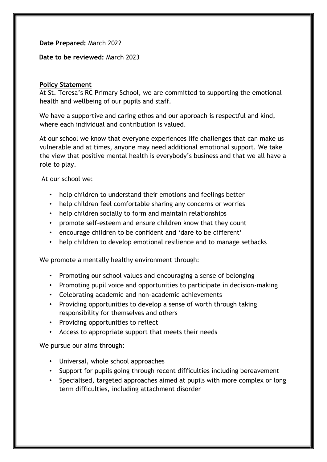**Date Prepared:** March 2022

**Date to be reviewed:** March 2023

#### **Policy Statement**

At St. Teresa's RC Primary School, we are committed to supporting the emotional health and wellbeing of our pupils and staff.

We have a supportive and caring ethos and our approach is respectful and kind, where each individual and contribution is valued.

At our school we know that everyone experiences life challenges that can make us vulnerable and at times, anyone may need additional emotional support. We take the view that positive mental health is everybody's business and that we all have a role to play.

At our school we:

- help children to understand their emotions and feelings better
- help children feel comfortable sharing any concerns or worries
- help children socially to form and maintain relationships
- promote self-esteem and ensure children know that they count
- encourage children to be confident and 'dare to be different'
- help children to develop emotional resilience and to manage setbacks

We promote a mentally healthy environment through:

- Promoting our school values and encouraging a sense of belonging
- Promoting pupil voice and opportunities to participate in decision-making
- Celebrating academic and non-academic achievements
- Providing opportunities to develop a sense of worth through taking responsibility for themselves and others
- Providing opportunities to reflect
- Access to appropriate support that meets their needs

We pursue our aims through:

- Universal, whole school approaches
- Support for pupils going through recent difficulties including bereavement
- Specialised, targeted approaches aimed at pupils with more complex or long term difficulties, including attachment disorder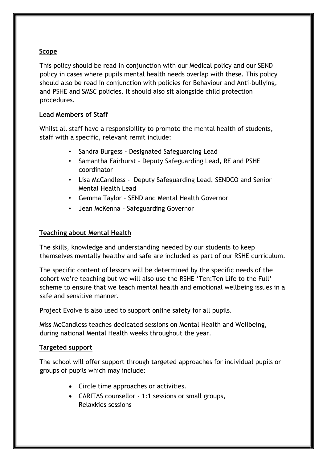#### **Scope**

This policy should be read in conjunction with our Medical policy and our SEND policy in cases where pupils mental health needs overlap with these. This policy should also be read in conjunction with policies for Behaviour and Anti-bullying, and PSHE and SMSC policies. It should also sit alongside child protection procedures.

#### **Lead Members of Staff**

Whilst all staff have a responsibility to promote the mental health of students, staff with a specific, relevant remit include:

- Sandra Burgess Designated Safeguarding Lead
- Samantha Fairhurst Deputy Safeguarding Lead, RE and PSHE coordinator
- Lisa McCandless Deputy Safeguarding Lead, SENDCO and Senior Mental Health Lead
- Gemma Taylor SEND and Mental Health Governor
- Jean McKenna Safeguarding Governor

#### **Teaching about Mental Health**

The skills, knowledge and understanding needed by our students to keep themselves mentally healthy and safe are included as part of our RSHE curriculum.

The specific content of lessons will be determined by the specific needs of the cohort we're teaching but we will also use the RSHE 'Ten:Ten Life to the Full' scheme to ensure that we teach mental health and emotional wellbeing issues in a safe and sensitive manner.

Project Evolve is also used to support online safety for all pupils.

Miss McCandless teaches dedicated sessions on Mental Health and Wellbeing, during national Mental Health weeks throughout the year.

#### **Targeted support**

The school will offer support through targeted approaches for individual pupils or groups of pupils which may include:

- Circle time approaches or activities.
- CARITAS counsellor 1:1 sessions or small groups, Relaxkids sessions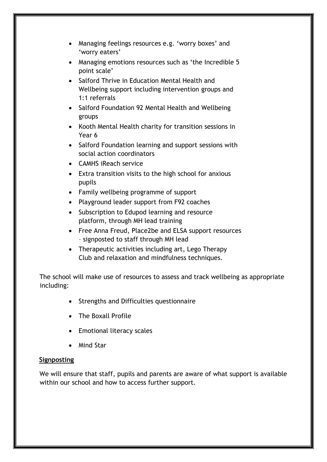- Managing feelings resources e.g. 'worry boxes' and 'worry eaters'
- Managing emotions resources such as 'the Incredible 5 point scale'
- Salford Thrive in Education Mental Health and Wellbeing support including intervention groups and 1:1 referrals
- Salford Foundation 92 Mental Health and Wellbeing groups
- Kooth Mental Health charity for transition sessions in Year 6
- Salford Foundation learning and support sessions with social action coordinators
- CAMHS iReach service
- Extra transition visits to the high school for anxious pupils
- Family wellbeing programme of support
- Playground leader support from F92 coaches
- Subscription to Edupod learning and resource platform, through MH lead training
- Free Anna Freud, Place2be and ELSA support resources – signposted to staff through MH lead
- Therapeutic activities including art, Lego Therapy Club and relaxation and mindfulness techniques.

The school will make use of resources to assess and track wellbeing as appropriate including:

- Strengths and Difficulties questionnaire
- The Boxall Profile
- Emotional literacy scales
- Mind Star

#### **Signposting**

We will ensure that staff, pupils and parents are aware of what support is available within our school and how to access further support.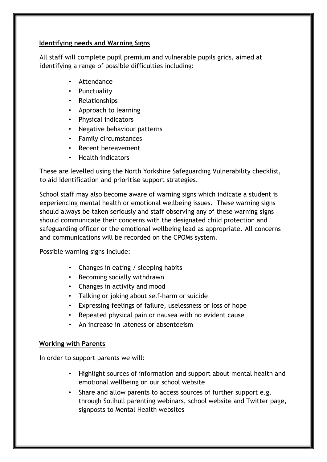#### **Identifying needs and Warning Signs**

All staff will complete pupil premium and vulnerable pupils grids, aimed at identifying a range of possible difficulties including:

- **Attendance**
- Punctuality
- Relationships
- Approach to learning
- Physical indicators
- Negative behaviour patterns
- Family circumstances
- Recent bereavement
- Health indicators

These are levelled using the North Yorkshire Safeguarding Vulnerability checklist, to aid identification and prioritise support strategies.

School staff may also become aware of warning signs which indicate a student is experiencing mental health or emotional wellbeing issues. These warning signs should always be taken seriously and staff observing any of these warning signs should communicate their concerns with the designated child protection and safeguarding officer or the emotional wellbeing lead as appropriate. All concerns and communications will be recorded on the CPOMs system.

Possible warning signs include:

- Changes in eating / sleeping habits
- Becoming socially withdrawn
- Changes in activity and mood
- Talking or joking about self-harm or suicide
- Expressing feelings of failure, uselessness or loss of hope
- Repeated physical pain or nausea with no evident cause
- An increase in lateness or absenteeism

### **Working with Parents**

In order to support parents we will:

- Highlight sources of information and support about mental health and emotional wellbeing on our school website
- Share and allow parents to access sources of further support e.g. through Solihull parenting webinars, school website and Twitter page, signposts to Mental Health websites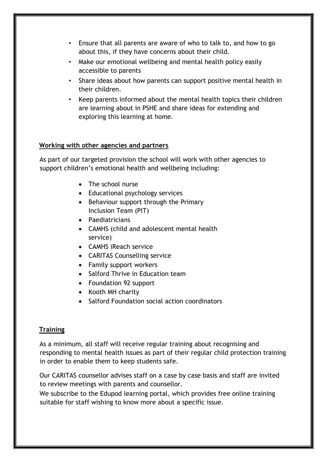- Ensure that all parents are aware of who to talk to, and how to go about this, if they have concerns about their child.
- Make our emotional wellbeing and mental health policy easily accessible to parents
- Share ideas about how parents can support positive mental health in their children.
- Keep parents informed about the mental health topics their children are learning about in PSHE and share ideas for extending and exploring this learning at home.

#### **Working with other agencies and partners**

As part of our targeted provision the school will work with other agencies to support children's emotional health and wellbeing including:

- The school nurse
- Educational psychology services
- Behaviour support through the Primary Inclusion Team (PIT)
- Paediatricians
- CAMHS (child and adolescent mental health service)
- CAMHS iReach service
- CARITAS Counselling service
- Family support workers
- Salford Thrive in Education team
- Foundation 92 support
- Kooth MH charity
- Salford Foundation social action coordinators

### **Training**

As a minimum, all staff will receive regular training about recognising and responding to mental health issues as part of their regular child protection training in order to enable them to keep students safe.

Our CARITAS counsellor advises staff on a case by case basis and staff are invited to review meetings with parents and counsellor.

We subscribe to the Edupod learning portal, which provides free online training suitable for staff wishing to know more about a specific issue.